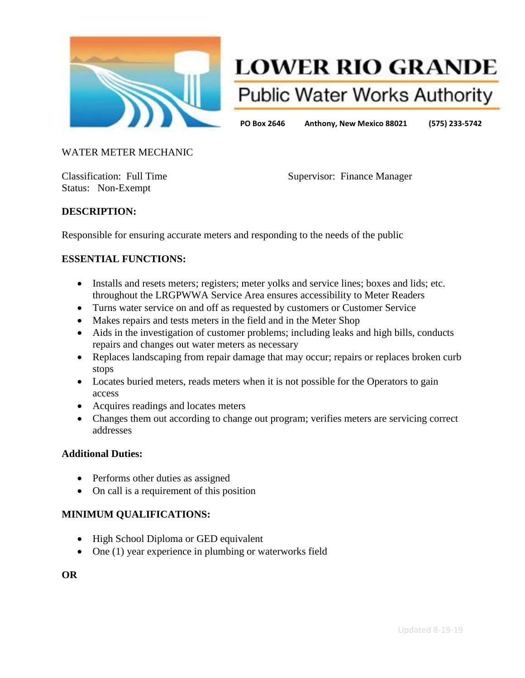

# **LOWER RIO GRANDE Public Water Works Authority**

**PO Box 2646 Anthony, New Mexico 88021 (575) 233-5742**

#### WATER METER MECHANIC

Status: Non-Exempt

Classification: Full Time Supervisor: Finance Manager

### **DESCRIPTION:**

Responsible for ensuring accurate meters and responding to the needs of the public

#### **ESSENTIAL FUNCTIONS:**

- Installs and resets meters; registers; meter yolks and service lines; boxes and lids; etc. throughout the LRGPWWA Service Area ensures accessibility to Meter Readers
- Turns water service on and off as requested by customers or Customer Service
- Makes repairs and tests meters in the field and in the Meter Shop
- Aids in the investigation of customer problems; including leaks and high bills, conducts repairs and changes out water meters as necessary
- Replaces landscaping from repair damage that may occur; repairs or replaces broken curb stops
- Locates buried meters, reads meters when it is not possible for the Operators to gain access
- Acquires readings and locates meters
- Changes them out according to change out program; verifies meters are servicing correct addresses

#### **Additional Duties:**

- Performs other duties as assigned
- On call is a requirement of this position

### **MINIMUM QUALIFICATIONS:**

- High School Diploma or GED equivalent
- One (1) year experience in plumbing or waterworks field

**OR**